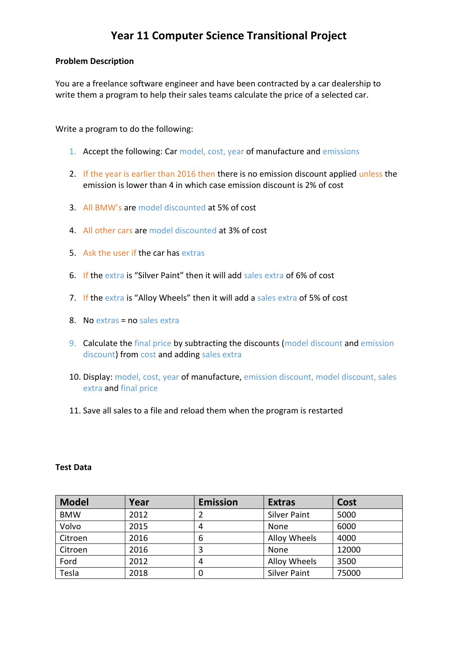## **Year 11 Computer Science Transitional Project**

#### **Problem Description**

You are a freelance software engineer and have been contracted by a car dealership to write them a program to help their sales teams calculate the price of a selected car.

Write a program to do the following:

- 1. Accept the following: Car model, cost, year of manufacture and emissions
- 2. If the year is earlier than 2016 then there is no emission discount applied unless the emission is lower than 4 in which case emission discount is 2% of cost
- 3. All BMW's are model discounted at 5% of cost
- 4. All other cars are model discounted at 3% of cost
- 5. Ask the user if the car has extras
- 6. If the extra is "Silver Paint" then it will add sales extra of 6% of cost
- 7. If the extra is "Alloy Wheels" then it will add a sales extra of 5% of cost
- 8. No extras = no sales extra
- 9. Calculate the final price by subtracting the discounts (model discount and emission discount) from cost and adding sales extra
- 10. Display: model, cost, year of manufacture, emission discount, model discount, sales extra and final price
- 11. Save all sales to a file and reload them when the program is restarted

#### **Test Data**

| <b>Model</b> | Year | <b>Emission</b> | <b>Extras</b>       | Cost  |
|--------------|------|-----------------|---------------------|-------|
| <b>BMW</b>   | 2012 |                 | <b>Silver Paint</b> | 5000  |
| Volvo        | 2015 | 4               | None                | 6000  |
| Citroen      | 2016 | 6               | Alloy Wheels        | 4000  |
| Citroen      | 2016 | 3               | None                | 12000 |
| Ford         | 2012 | 4               | Alloy Wheels        | 3500  |
| Tesla        | 2018 |                 | <b>Silver Paint</b> | 75000 |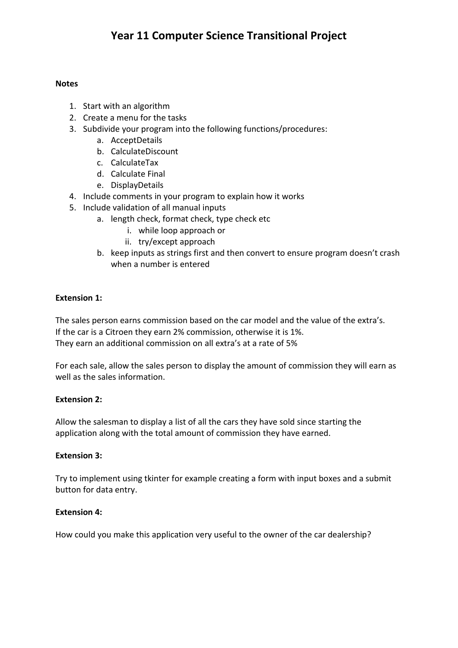## **Year 11 Computer Science Transitional Project**

#### **Notes**

- 1. Start with an algorithm
- 2. Create a menu for the tasks
- 3. Subdivide your program into the following functions/procedures:
	- a. AcceptDetails
	- b. CalculateDiscount
	- c. CalculateTax
	- d. Calculate Final
	- e. DisplayDetails
- 4. Include comments in your program to explain how it works
- 5. Include validation of all manual inputs
	- a. length check, format check, type check etc
		- i. while loop approach or
		- ii. try/except approach
	- b. keep inputs as strings first and then convert to ensure program doesn't crash when a number is entered

### **Extension 1:**

The sales person earns commission based on the car model and the value of the extra's. If the car is a Citroen they earn 2% commission, otherwise it is 1%. They earn an additional commission on all extra's at a rate of 5%

For each sale, allow the sales person to display the amount of commission they will earn as well as the sales information.

### **Extension 2:**

Allow the salesman to display a list of all the cars they have sold since starting the application along with the total amount of commission they have earned.

### **Extension 3:**

Try to implement using tkinter for example creating a form with input boxes and a submit button for data entry.

### **Extension 4:**

How could you make this application very useful to the owner of the car dealership?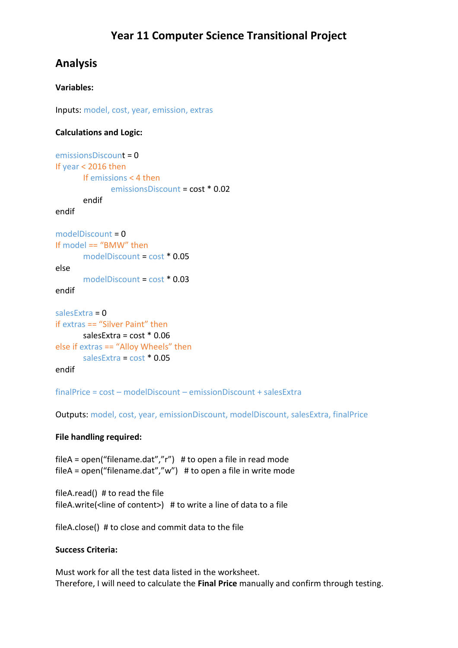# **Analysis**

## **Variables:**

Inputs: model, cost, year, emission, extras

### **Calculations and Logic:**

```
emissionsDiscount = 0
If year < 2016 then
       If emissions < 4 then
              emissionsDiscount = cost * 0.02
       endif
endif
modelDiscount = 0
If model == "BMW" then
       modelDiscount = cost * 0.05
else
       modelDiscount = cost * 0.03
endif
salesExtra = 0
if extras == "Silver Paint" then
       salesExtra = cost * 0.06
else if extras == "Alloy Wheels" then
       salesExtra = cost * 0.05
endif
```
finalPrice = cost – modelDiscount – emissionDiscount + salesExtra

Outputs: model, cost, year, emissionDiscount, modelDiscount, salesExtra, finalPrice

### **File handling required:**

fileA = open("filename.dat","r") # to open a file in read mode fileA = open("filename.dat","w") # to open a file in write mode

fileA.read() # to read the file fileA.write(<line of content>)  $#$  to write a line of data to a file

fileA.close() # to close and commit data to the file

### **Success Criteria:**

Must work for all the test data listed in the worksheet. Therefore, I will need to calculate the **Final Price** manually and confirm through testing.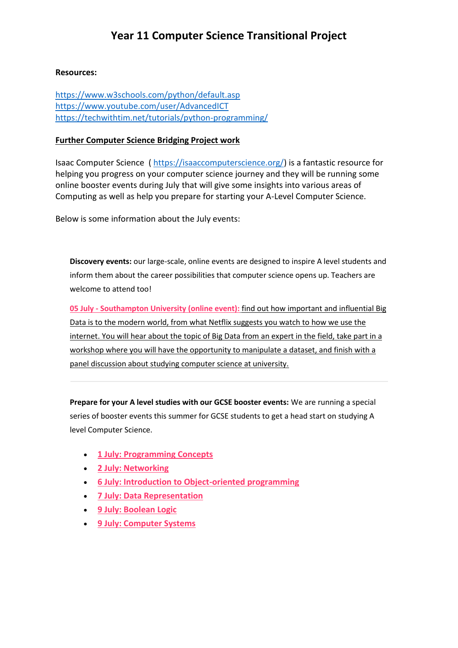### **Resources:**

<https://www.w3schools.com/python/default.asp> <https://www.youtube.com/user/AdvancedICT> <https://techwithtim.net/tutorials/python-programming/>

### **Further Computer Science Bridging Project work**

Isaac Computer Science ( [https://isaaccomputerscience.org/\)](https://isaaccomputerscience.org/) is a fantastic resource for helping you progress on your computer science journey and they will be running some online booster events during July that will give some insights into various areas of Computing as well as help you prepare for starting your A-Level Computer Science.

Below is some information about the July events:

**Discovery events:** our large-scale, online events are designed to inspire A level students and inform them about the career possibilities that computer science opens up. Teachers are welcome to attend too!

**05 July - Southampton University (online event):** [find out how important and influential Big](https://linkprotect.cudasvc.com/url?a=http%3a%2f%2fx7240.mjt.lu%2flnk%2fAV4AAAJQpCIAAAADfvYAAAZxUGUAAAAAW4QAAE7ZABcsCgBgveMqkTGaVg9AQAObxKgM4oH7BAAWwW8%2f1%2fqafiPPruMpVbBQnAlQT6pA%2faHR0cDovL25jY2UuaW8vbG9Cc3Vy&c=E,1,Zt3VQfmdbnkZHWRVmZ5buXy9KZns3uQVhmEwW73_lopxOKB5sjOAF1Inj_tp7MeDt-_Dxb7StiWXpam_bUC91msYGJsRqYVgUiMSAg7WPe4n7j9jDbrdSkDDQPU,&typo=1)  [Data is to the modern world, from what Netflix suggests you watch to how we use the](https://linkprotect.cudasvc.com/url?a=http%3a%2f%2fx7240.mjt.lu%2flnk%2fAV4AAAJQpCIAAAADfvYAAAZxUGUAAAAAW4QAAE7ZABcsCgBgveMqkTGaVg9AQAObxKgM4oH7BAAWwW8%2f1%2fqafiPPruMpVbBQnAlQT6pA%2faHR0cDovL25jY2UuaW8vbG9Cc3Vy&c=E,1,Zt3VQfmdbnkZHWRVmZ5buXy9KZns3uQVhmEwW73_lopxOKB5sjOAF1Inj_tp7MeDt-_Dxb7StiWXpam_bUC91msYGJsRqYVgUiMSAg7WPe4n7j9jDbrdSkDDQPU,&typo=1)  [internet. You will hear about the topic of Big Data from an expert in the field, take part in a](https://linkprotect.cudasvc.com/url?a=http%3a%2f%2fx7240.mjt.lu%2flnk%2fAV4AAAJQpCIAAAADfvYAAAZxUGUAAAAAW4QAAE7ZABcsCgBgveMqkTGaVg9AQAObxKgM4oH7BAAWwW8%2f1%2fqafiPPruMpVbBQnAlQT6pA%2faHR0cDovL25jY2UuaW8vbG9Cc3Vy&c=E,1,Zt3VQfmdbnkZHWRVmZ5buXy9KZns3uQVhmEwW73_lopxOKB5sjOAF1Inj_tp7MeDt-_Dxb7StiWXpam_bUC91msYGJsRqYVgUiMSAg7WPe4n7j9jDbrdSkDDQPU,&typo=1)  [workshop where you will have the opportunity to manipulate a dataset, and finish with a](https://linkprotect.cudasvc.com/url?a=http%3a%2f%2fx7240.mjt.lu%2flnk%2fAV4AAAJQpCIAAAADfvYAAAZxUGUAAAAAW4QAAE7ZABcsCgBgveMqkTGaVg9AQAObxKgM4oH7BAAWwW8%2f1%2fqafiPPruMpVbBQnAlQT6pA%2faHR0cDovL25jY2UuaW8vbG9Cc3Vy&c=E,1,Zt3VQfmdbnkZHWRVmZ5buXy9KZns3uQVhmEwW73_lopxOKB5sjOAF1Inj_tp7MeDt-_Dxb7StiWXpam_bUC91msYGJsRqYVgUiMSAg7WPe4n7j9jDbrdSkDDQPU,&typo=1)  [panel discussion about studying computer science at university.](https://linkprotect.cudasvc.com/url?a=http%3a%2f%2fx7240.mjt.lu%2flnk%2fAV4AAAJQpCIAAAADfvYAAAZxUGUAAAAAW4QAAE7ZABcsCgBgveMqkTGaVg9AQAObxKgM4oH7BAAWwW8%2f1%2fqafiPPruMpVbBQnAlQT6pA%2faHR0cDovL25jY2UuaW8vbG9Cc3Vy&c=E,1,Zt3VQfmdbnkZHWRVmZ5buXy9KZns3uQVhmEwW73_lopxOKB5sjOAF1Inj_tp7MeDt-_Dxb7StiWXpam_bUC91msYGJsRqYVgUiMSAg7WPe4n7j9jDbrdSkDDQPU,&typo=1)

**Prepare for your A level studies with our GCSE booster events:** We are running a special series of booster events this summer for GCSE students to get a head start on studying A level Computer Science.

- **[1 July: Programming Concepts](https://linkprotect.cudasvc.com/url?a=http%3a%2f%2fx7240.mjt.lu%2flnk%2fAV4AAAJQpCIAAAADfvYAAAZxUGUAAAAAW4QAAE7ZABcsCgBgveMqkTGaVg9AQAObxKgM4oH7BAAWwW8%2f2%2fWy3pClnfft2a0CPXkRllxQ%2faHR0cHM6Ly9uY2NlLmlvL2oyMV9wZ2M&c=E,1,CFriUYKpXGCWXiMLaHG29gnv4mLcosbIY4A66AUIkzyobYJp1Fpj-9LyE39XZtXd-1KlXRXfrZVlILRuMo_5WmN23NPxDRVZ_DH6H0OOufZMP2w1B-WY&typo=1)**
- **[2 July: Networking](https://linkprotect.cudasvc.com/url?a=http%3a%2f%2fx7240.mjt.lu%2flnk%2fAV4AAAJQpCIAAAADfvYAAAZxUGUAAAAAW4QAAE7ZABcsCgBgveMqkTGaVg9AQAObxKgM4oH7BAAWwW8%2f3%2f2pWwBkJ4OjmAlWhJcHe6XA%2faHR0cHM6Ly9uY2NlLmlvL2oyMV9ud2U&c=E,1,n2FFq_tk5FALSWsWStJp6wwfrYMjycpFVpBMkGUx5FTTGfdhT9jwx2eG4zWiU3HdLf0Ln0y12x9TTA5XR7o9F-k3LswZ8g1JN2MrB4QigXfPch59TC_8WFmHxg,,&typo=1)**
- **[6 July: Introduction to Object-oriented programming](https://linkprotect.cudasvc.com/url?a=http%3a%2f%2fx7240.mjt.lu%2flnk%2fAV4AAAJQpCIAAAADfvYAAAZxUGUAAAAAW4QAAE7ZABcsCgBgveMqkTGaVg9AQAObxKgM4oH7BAAWwW8%2f4%2f3-I0EY9ypgdN1I3PfM9ysA%2faHR0cHM6Ly9uY2NlLmlvL2oyMV9vb3A&c=E,1,XOItkj_BFQ1hkZcjsQf5fX0S7yaiZoJyPvjvIB1i7oFriXoCUz0nUQzek29ehcqaVsvkJP-oWAChICsVLX17BSkGU_bn2uUnOpYMTxLn1zO9JKWXHDM,&typo=1)**
- **[7 July: Data Representation](https://linkprotect.cudasvc.com/url?a=http%3a%2f%2fx7240.mjt.lu%2flnk%2fAV4AAAJQpCIAAAADfvYAAAZxUGUAAAAAW4QAAE7ZABcsCgBgveMqkTGaVg9AQAObxKgM4oH7BAAWwW8%2f5%2fPsqmi_bXmlvWmB6PQ_jtyg%2faHR0cHM6Ly9uY2NlLmlvL2oyMV9kcmU&c=E,1,Cm4H3QgMq6b75J8z1M9d006T7QmXrL5XLDO6aqVPKsqXjlImmKn0tkzOaY8mCVdpky28ofx8so-CB2K8wCj3-z6nTE-A3ohN4ItecdlXx64p&typo=1)**
- **[9 July: Boolean Logic](https://linkprotect.cudasvc.com/url?a=http%3a%2f%2fx7240.mjt.lu%2flnk%2fAV4AAAJQpCIAAAADfvYAAAZxUGUAAAAAW4QAAE7ZABcsCgBgveMqkTGaVg9AQAObxKgM4oH7BAAWwW8%2f6%2f0TvdP7szkD3iqtPtcBK4pw%2faHR0cHM6Ly9uY2NlLmlvL2oyMV9ib28&c=E,1,nFmivqgldKd88qmbmuVQyjjT39yMi8lh2CrTq0xB2Wapg3JnTqQqpNLyqv0n2XSfSV5SIpiBb6dj-LjH8_sWsv6JTk4DlLmnO11U6IWOqQk,&typo=1)**
- **[9 July: Computer Systems](https://linkprotect.cudasvc.com/url?a=http%3a%2f%2fx7240.mjt.lu%2flnk%2fAV4AAAJQpCIAAAADfvYAAAZxUGUAAAAAW4QAAE7ZABcsCgBgveMqkTGaVg9AQAObxKgM4oH7BAAWwW8%2f7%2fRs4UQNEDL3_D0tDukzi1qA%2faHR0cHM6Ly9uY2NlLmlvL2oyMV9jc2U&c=E,1,6Cj5KyIXv0BM9t5DLp92f3psuYZ4Xjde44Js_Ux_aDyP1dqflU_UjNfpiW1ugAGIajJirF8kaNb9KmKaIzGCTmPh0wnczRGxGVRmbcaONUjU-1OsCQ,,&typo=1)**